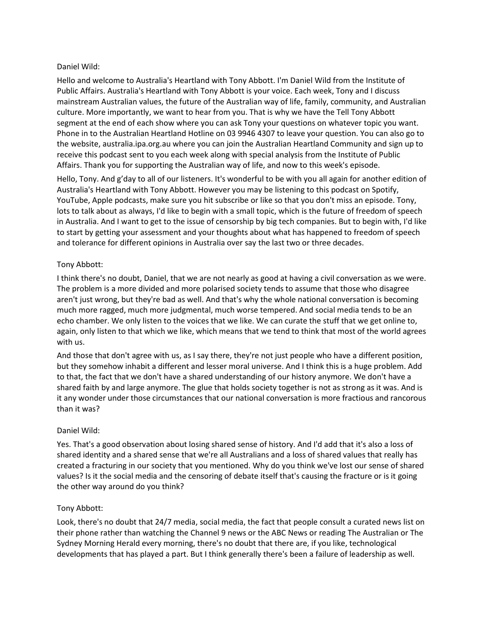### Daniel Wild:

Hello and welcome to Australia's Heartland with Tony Abbott. I'm Daniel Wild from the Institute of Public Affairs. Australia's Heartland with Tony Abbott is your voice. Each week, Tony and I discuss mainstream Australian values, the future of the Australian way of life, family, community, and Australian culture. More importantly, we want to hear from you. That is why we have the Tell Tony Abbott segment at the end of each show where you can ask Tony your questions on whatever topic you want. Phone in to the Australian Heartland Hotline on 03 9946 4307 to leave your question. You can also go to the website, australia.ipa.org.au where you can join the Australian Heartland Community and sign up to receive this podcast sent to you each week along with special analysis from the Institute of Public Affairs. Thank you for supporting the Australian way of life, and now to this week's episode.

Hello, Tony. And g'day to all of our listeners. It's wonderful to be with you all again for another edition of Australia's Heartland with Tony Abbott. However you may be listening to this podcast on Spotify, YouTube, Apple podcasts, make sure you hit subscribe or like so that you don't miss an episode. Tony, lots to talk about as always, I'd like to begin with a small topic, which is the future of freedom of speech in Australia. And I want to get to the issue of censorship by big tech companies. But to begin with, I'd like to start by getting your assessment and your thoughts about what has happened to freedom of speech and tolerance for different opinions in Australia over say the last two or three decades.

## Tony Abbott:

I think there's no doubt, Daniel, that we are not nearly as good at having a civil conversation as we were. The problem is a more divided and more polarised society tends to assume that those who disagree aren't just wrong, but they're bad as well. And that's why the whole national conversation is becoming much more ragged, much more judgmental, much worse tempered. And social media tends to be an echo chamber. We only listen to the voices that we like. We can curate the stuff that we get online to, again, only listen to that which we like, which means that we tend to think that most of the world agrees with us.

And those that don't agree with us, as I say there, they're not just people who have a different position, but they somehow inhabit a different and lesser moral universe. And I think this is a huge problem. Add to that, the fact that we don't have a shared understanding of our history anymore. We don't have a shared faith by and large anymore. The glue that holds society together is not as strong as it was. And is it any wonder under those circumstances that our national conversation is more fractious and rancorous than it was?

### Daniel Wild:

Yes. That's a good observation about losing shared sense of history. And I'd add that it's also a loss of shared identity and a shared sense that we're all Australians and a loss of shared values that really has created a fracturing in our society that you mentioned. Why do you think we've lost our sense of shared values? Is it the social media and the censoring of debate itself that's causing the fracture or is it going the other way around do you think?

### Tony Abbott:

Look, there's no doubt that 24/7 media, social media, the fact that people consult a curated news list on their phone rather than watching the Channel 9 news or the ABC News or reading The Australian or The Sydney Morning Herald every morning, there's no doubt that there are, if you like, technological developments that has played a part. But I think generally there's been a failure of leadership as well.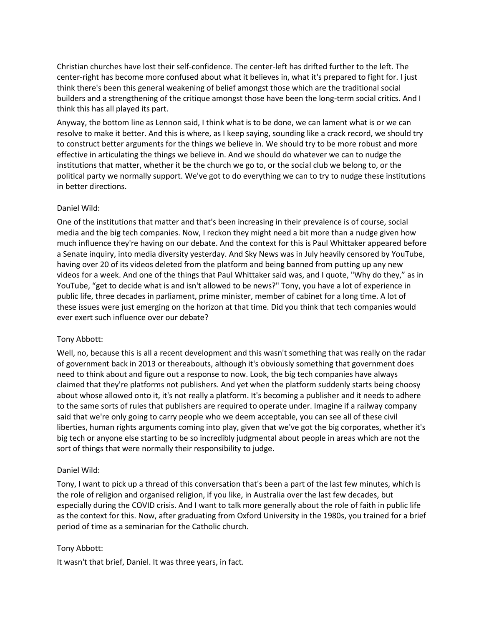Christian churches have lost their self-confidence. The center-left has drifted further to the left. The center-right has become more confused about what it believes in, what it's prepared to fight for. I just think there's been this general weakening of belief amongst those which are the traditional social builders and a strengthening of the critique amongst those have been the long-term social critics. And I think this has all played its part.

Anyway, the bottom line as Lennon said, I think what is to be done, we can lament what is or we can resolve to make it better. And this is where, as I keep saying, sounding like a crack record, we should try to construct better arguments for the things we believe in. We should try to be more robust and more effective in articulating the things we believe in. And we should do whatever we can to nudge the institutions that matter, whether it be the church we go to, or the social club we belong to, or the political party we normally support. We've got to do everything we can to try to nudge these institutions in better directions.

#### Daniel Wild:

One of the institutions that matter and that's been increasing in their prevalence is of course, social media and the big tech companies. Now, I reckon they might need a bit more than a nudge given how much influence they're having on our debate. And the context for this is Paul Whittaker appeared before a Senate inquiry, into media diversity yesterday. And Sky News was in July heavily censored by YouTube, having over 20 of its videos deleted from the platform and being banned from putting up any new videos for a week. And one of the things that Paul Whittaker said was, and I quote, "Why do they," as in YouTube, "get to decide what is and isn't allowed to be news?" Tony, you have a lot of experience in public life, three decades in parliament, prime minister, member of cabinet for a long time. A lot of these issues were just emerging on the horizon at that time. Did you think that tech companies would ever exert such influence over our debate?

### Tony Abbott:

Well, no, because this is all a recent development and this wasn't something that was really on the radar of government back in 2013 or thereabouts, although it's obviously something that government does need to think about and figure out a response to now. Look, the big tech companies have always claimed that they're platforms not publishers. And yet when the platform suddenly starts being choosy about whose allowed onto it, it's not really a platform. It's becoming a publisher and it needs to adhere to the same sorts of rules that publishers are required to operate under. Imagine if a railway company said that we're only going to carry people who we deem acceptable, you can see all of these civil liberties, human rights arguments coming into play, given that we've got the big corporates, whether it's big tech or anyone else starting to be so incredibly judgmental about people in areas which are not the sort of things that were normally their responsibility to judge.

#### Daniel Wild:

Tony, I want to pick up a thread of this conversation that's been a part of the last few minutes, which is the role of religion and organised religion, if you like, in Australia over the last few decades, but especially during the COVID crisis. And I want to talk more generally about the role of faith in public life as the context for this. Now, after graduating from Oxford University in the 1980s, you trained for a brief period of time as a seminarian for the Catholic church.

#### Tony Abbott:

It wasn't that brief, Daniel. It was three years, in fact.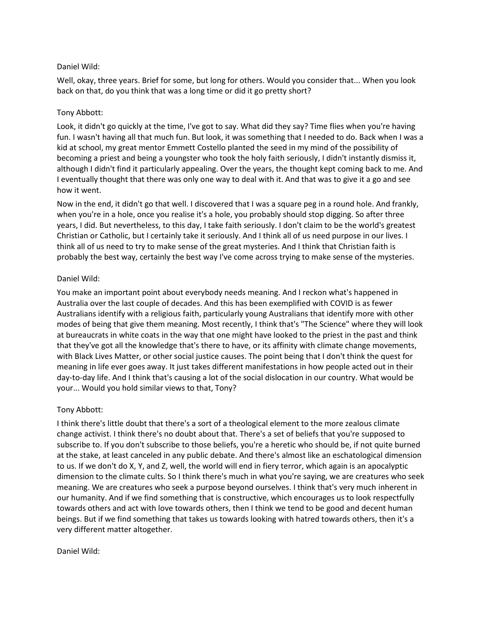### Daniel Wild:

Well, okay, three years. Brief for some, but long for others. Would you consider that... When you look back on that, do you think that was a long time or did it go pretty short?

# Tony Abbott:

Look, it didn't go quickly at the time, I've got to say. What did they say? Time flies when you're having fun. I wasn't having all that much fun. But look, it was something that I needed to do. Back when I was a kid at school, my great mentor Emmett Costello planted the seed in my mind of the possibility of becoming a priest and being a youngster who took the holy faith seriously, I didn't instantly dismiss it, although I didn't find it particularly appealing. Over the years, the thought kept coming back to me. And I eventually thought that there was only one way to deal with it. And that was to give it a go and see how it went.

Now in the end, it didn't go that well. I discovered that I was a square peg in a round hole. And frankly, when you're in a hole, once you realise it's a hole, you probably should stop digging. So after three years, I did. But nevertheless, to this day, I take faith seriously. I don't claim to be the world's greatest Christian or Catholic, but I certainly take it seriously. And I think all of us need purpose in our lives. I think all of us need to try to make sense of the great mysteries. And I think that Christian faith is probably the best way, certainly the best way I've come across trying to make sense of the mysteries.

## Daniel Wild:

You make an important point about everybody needs meaning. And I reckon what's happened in Australia over the last couple of decades. And this has been exemplified with COVID is as fewer Australians identify with a religious faith, particularly young Australians that identify more with other modes of being that give them meaning. Most recently, I think that's "The Science" where they will look at bureaucrats in white coats in the way that one might have looked to the priest in the past and think that they've got all the knowledge that's there to have, or its affinity with climate change movements, with Black Lives Matter, or other social justice causes. The point being that I don't think the quest for meaning in life ever goes away. It just takes different manifestations in how people acted out in their day-to-day life. And I think that's causing a lot of the social dislocation in our country. What would be your... Would you hold similar views to that, Tony?

# Tony Abbott:

I think there's little doubt that there's a sort of a theological element to the more zealous climate change activist. I think there's no doubt about that. There's a set of beliefs that you're supposed to subscribe to. If you don't subscribe to those beliefs, you're a heretic who should be, if not quite burned at the stake, at least canceled in any public debate. And there's almost like an eschatological dimension to us. If we don't do X, Y, and Z, well, the world will end in fiery terror, which again is an apocalyptic dimension to the climate cults. So I think there's much in what you're saying, we are creatures who seek meaning. We are creatures who seek a purpose beyond ourselves. I think that's very much inherent in our humanity. And if we find something that is constructive, which encourages us to look respectfully towards others and act with love towards others, then I think we tend to be good and decent human beings. But if we find something that takes us towards looking with hatred towards others, then it's a very different matter altogether.

### Daniel Wild: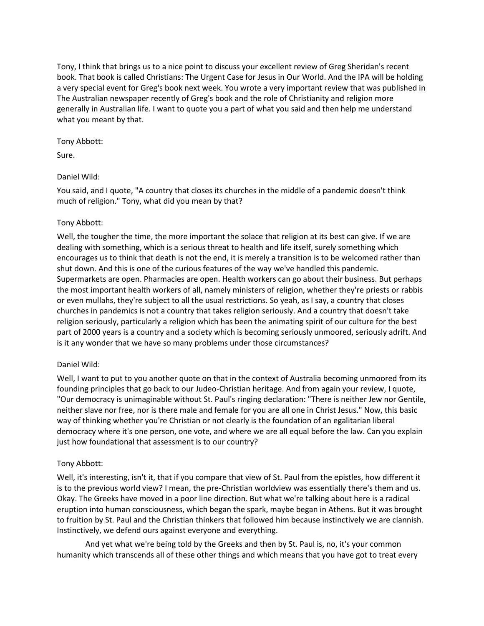Tony, I think that brings us to a nice point to discuss your excellent review of Greg Sheridan's recent book. That book is called Christians: The Urgent Case for Jesus in Our World. And the IPA will be holding a very special event for Greg's book next week. You wrote a very important review that was published in The Australian newspaper recently of Greg's book and the role of Christianity and religion more generally in Australian life. I want to quote you a part of what you said and then help me understand what you meant by that.

## Tony Abbott:

Sure.

# Daniel Wild:

You said, and I quote, "A country that closes its churches in the middle of a pandemic doesn't think much of religion." Tony, what did you mean by that?

## Tony Abbott:

Well, the tougher the time, the more important the solace that religion at its best can give. If we are dealing with something, which is a serious threat to health and life itself, surely something which encourages us to think that death is not the end, it is merely a transition is to be welcomed rather than shut down. And this is one of the curious features of the way we've handled this pandemic. Supermarkets are open. Pharmacies are open. Health workers can go about their business. But perhaps the most important health workers of all, namely ministers of religion, whether they're priests or rabbis or even mullahs, they're subject to all the usual restrictions. So yeah, as I say, a country that closes churches in pandemics is not a country that takes religion seriously. And a country that doesn't take religion seriously, particularly a religion which has been the animating spirit of our culture for the best part of 2000 years is a country and a society which is becoming seriously unmoored, seriously adrift. And is it any wonder that we have so many problems under those circumstances?

# Daniel Wild:

Well, I want to put to you another quote on that in the context of Australia becoming unmoored from its founding principles that go back to our Judeo-Christian heritage. And from again your review, I quote, "Our democracy is unimaginable without St. Paul's ringing declaration: "There is neither Jew nor Gentile, neither slave nor free, nor is there male and female for you are all one in Christ Jesus." Now, this basic way of thinking whether you're Christian or not clearly is the foundation of an egalitarian liberal democracy where it's one person, one vote, and where we are all equal before the law. Can you explain just how foundational that assessment is to our country?

# Tony Abbott:

Well, it's interesting, isn't it, that if you compare that view of St. Paul from the epistles, how different it is to the previous world view? I mean, the pre-Christian worldview was essentially there's them and us. Okay. The Greeks have moved in a poor line direction. But what we're talking about here is a radical eruption into human consciousness, which began the spark, maybe began in Athens. But it was brought to fruition by St. Paul and the Christian thinkers that followed him because instinctively we are clannish. Instinctively, we defend ours against everyone and everything.

And yet what we're being told by the Greeks and then by St. Paul is, no, it's your common humanity which transcends all of these other things and which means that you have got to treat every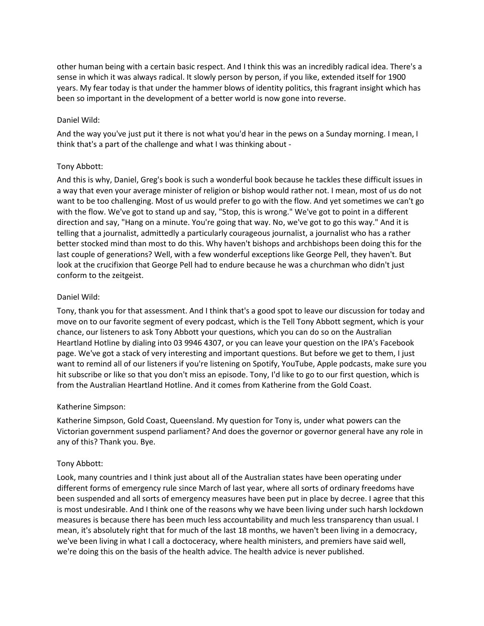other human being with a certain basic respect. And I think this was an incredibly radical idea. There's a sense in which it was always radical. It slowly person by person, if you like, extended itself for 1900 years. My fear today is that under the hammer blows of identity politics, this fragrant insight which has been so important in the development of a better world is now gone into reverse.

### Daniel Wild:

And the way you've just put it there is not what you'd hear in the pews on a Sunday morning. I mean, I think that's a part of the challenge and what I was thinking about -

#### Tony Abbott:

And this is why, Daniel, Greg's book is such a wonderful book because he tackles these difficult issues in a way that even your average minister of religion or bishop would rather not. I mean, most of us do not want to be too challenging. Most of us would prefer to go with the flow. And yet sometimes we can't go with the flow. We've got to stand up and say, "Stop, this is wrong." We've got to point in a different direction and say, "Hang on a minute. You're going that way. No, we've got to go this way." And it is telling that a journalist, admittedly a particularly courageous journalist, a journalist who has a rather better stocked mind than most to do this. Why haven't bishops and archbishops been doing this for the last couple of generations? Well, with a few wonderful exceptions like George Pell, they haven't. But look at the crucifixion that George Pell had to endure because he was a churchman who didn't just conform to the zeitgeist.

#### Daniel Wild:

Tony, thank you for that assessment. And I think that's a good spot to leave our discussion for today and move on to our favorite segment of every podcast, which is the Tell Tony Abbott segment, which is your chance, our listeners to ask Tony Abbott your questions, which you can do so on the Australian Heartland Hotline by dialing into 03 9946 4307, or you can leave your question on the IPA's Facebook page. We've got a stack of very interesting and important questions. But before we get to them, I just want to remind all of our listeners if you're listening on Spotify, YouTube, Apple podcasts, make sure you hit subscribe or like so that you don't miss an episode. Tony, I'd like to go to our first question, which is from the Australian Heartland Hotline. And it comes from Katherine from the Gold Coast.

### Katherine Simpson:

Katherine Simpson, Gold Coast, Queensland. My question for Tony is, under what powers can the Victorian government suspend parliament? And does the governor or governor general have any role in any of this? Thank you. Bye.

### Tony Abbott:

Look, many countries and I think just about all of the Australian states have been operating under different forms of emergency rule since March of last year, where all sorts of ordinary freedoms have been suspended and all sorts of emergency measures have been put in place by decree. I agree that this is most undesirable. And I think one of the reasons why we have been living under such harsh lockdown measures is because there has been much less accountability and much less transparency than usual. I mean, it's absolutely right that for much of the last 18 months, we haven't been living in a democracy, we've been living in what I call a doctoceracy, where health ministers, and premiers have said well, we're doing this on the basis of the health advice. The health advice is never published.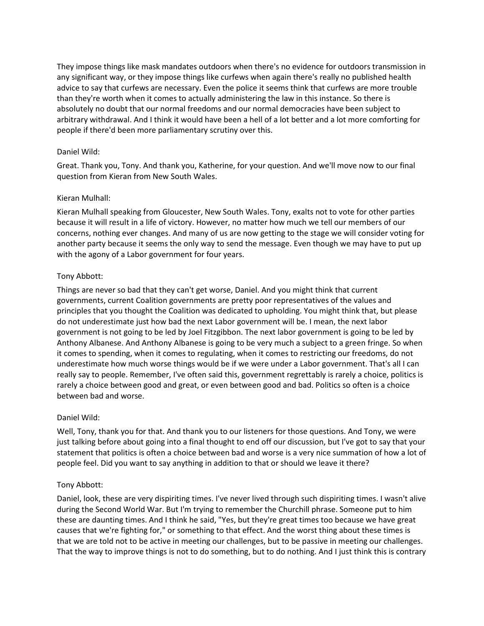They impose things like mask mandates outdoors when there's no evidence for outdoors transmission in any significant way, or they impose things like curfews when again there's really no published health advice to say that curfews are necessary. Even the police it seems think that curfews are more trouble than they're worth when it comes to actually administering the law in this instance. So there is absolutely no doubt that our normal freedoms and our normal democracies have been subject to arbitrary withdrawal. And I think it would have been a hell of a lot better and a lot more comforting for people if there'd been more parliamentary scrutiny over this.

### Daniel Wild:

Great. Thank you, Tony. And thank you, Katherine, for your question. And we'll move now to our final question from Kieran from New South Wales.

## Kieran Mulhall:

Kieran Mulhall speaking from Gloucester, New South Wales. Tony, exalts not to vote for other parties because it will result in a life of victory. However, no matter how much we tell our members of our concerns, nothing ever changes. And many of us are now getting to the stage we will consider voting for another party because it seems the only way to send the message. Even though we may have to put up with the agony of a Labor government for four years.

## Tony Abbott:

Things are never so bad that they can't get worse, Daniel. And you might think that current governments, current Coalition governments are pretty poor representatives of the values and principles that you thought the Coalition was dedicated to upholding. You might think that, but please do not underestimate just how bad the next Labor government will be. I mean, the next labor government is not going to be led by Joel Fitzgibbon. The next labor government is going to be led by Anthony Albanese. And Anthony Albanese is going to be very much a subject to a green fringe. So when it comes to spending, when it comes to regulating, when it comes to restricting our freedoms, do not underestimate how much worse things would be if we were under a Labor government. That's all I can really say to people. Remember, I've often said this, government regrettably is rarely a choice, politics is rarely a choice between good and great, or even between good and bad. Politics so often is a choice between bad and worse.

### Daniel Wild:

Well, Tony, thank you for that. And thank you to our listeners for those questions. And Tony, we were just talking before about going into a final thought to end off our discussion, but I've got to say that your statement that politics is often a choice between bad and worse is a very nice summation of how a lot of people feel. Did you want to say anything in addition to that or should we leave it there?

# Tony Abbott:

Daniel, look, these are very dispiriting times. I've never lived through such dispiriting times. I wasn't alive during the Second World War. But I'm trying to remember the Churchill phrase. Someone put to him these are daunting times. And I think he said, "Yes, but they're great times too because we have great causes that we're fighting for," or something to that effect. And the worst thing about these times is that we are told not to be active in meeting our challenges, but to be passive in meeting our challenges. That the way to improve things is not to do something, but to do nothing. And I just think this is contrary